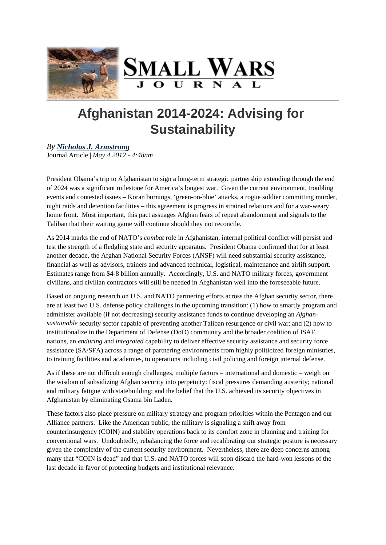# Afghanistan 2014-2024: Advising for **Sustainability**

# By Nicholas J. Armstrong

Journal Article May 4 2012 - 4:48am

Pr[esident Obama's trip to A](http://smallwarsjournal.com/author/nicholas-j-armstrong)fghanistan to sign a long-term strategic partnership extending through the end of 2024 was a significant milestone for America's longest war. Given the current environment, troubling events and contested issues – Koran burnings, 'green-on-blue' attacks, a rogue soldier committing murder, night raids and detention facilities – this agreement is progress in strained relations and for a war-weary home front. Most important, this pact assuages Afghan fears of repeat abandonment and signals to the Taliban that their waiting game will continue should they not reconcile.

As 2014 marks the end of NATO's mbatrole in Afghanistan, internal political conflict will persist and test the strength of a fledgling state and security apparatus. President Obama confirmed that for at least another decade, the Afghan National Security Forces (ANSF) will need substantial security assistance, financial as well as advisors, trainers and advanced technical, logistical, maintenance and airlift support. Estimates range from \$4-8 billion annually. Accordingly, U.S. and NATO military forces, government civilians, and civilian contractors will still be needed in Afghanistan well into the foreseeable future.

Based on ongoing research on U.S. and NATO partnering efforts across the Afghan security sector, there are at least two U.S. defense policy challenges in the upcoming transition: (1) how to smartly program and administer available (if not decreasing) security assistance funds to continue developing and Afghansustainable security sector capable of preventing another Taliban resurgence or civil war; and (2) how to institutionalize in the Department of Defense (DoD) community and the broader coalition of ISAF nations, arenduring and integrated capability to deliver effective security assistance and security force assistance (SA/SFA) across a range of partnering environments from highly politicized foreign ministries, to training facilities and academies, to operations including civil policing and foreign internal defense.

As if these are not difficult enough challenges, multiple factors – international and domestic – weigh on the wisdom of subsidizing Afghan security into perpetuity: fiscal pressures demanding austerity; national and military fatigue with statebuilding; and the belief that the U.S. achieved its security objectives in Afghanistan by eliminating Osama bin Laden.

These factors also place pressure on military strategy and program priorities within the Pentagon and our Alliance partners. Like the American public, the military is signaling a shift away from counterinsurgency (COIN) and stability operations back to its comfort zone in planning and training for conventional wars. Undoubtedly, rebalancing the force and recalibrating our strategic posture is necessary given the complexity of the current security environment. Nevertheless, there are deep concerns among many that "COIN is dead" and that U.S. and NATO forces will soon discard the hard-won lessons of the last decade in favor of protecting budgets and institutional relevance.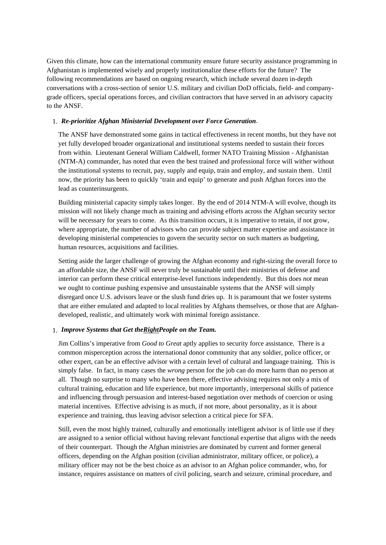Given this climate, how can the international community ensure future security assistance programming in Afghanistan is implemented wisely and properly institutionalize these efforts for the future? The following recommendations are based on ongoing research, which include several dozen in-depth conversations with a cross-section of senior U.S. military and civilian DoD officials, field- and companygrade officers, special operations forces, and civilian contractors that have served in an advisory capacity to the ANSF.

## 1. *Re-prioritize Afghan Ministerial Development over Force Generation*.

The ANSF have demonstrated some gains in tactical effectiveness in recent months, but they have not yet fully developed broader organizational and institutional systems needed to sustain their forces from within. Lieutenant General William Caldwell, former NATO Training Mission - Afghanistan (NTM-A) commander, has noted that even the best trained and professional force will wither without the institutional systems to recruit, pay, supply and equip, train and employ, and sustain them. Until now, the priority has been to quickly 'train and equip' to generate and push Afghan forces into the lead as counterinsurgents.

Building ministerial capacity simply takes longer. By the end of 2014 NTM-A will evolve, though its mission will not likely change much as training and advising efforts across the Afghan security sector will be necessary for years to come. As this transition occurs, it is imperative to retain, if not grow, where appropriate, the number of advisors who can provide subject matter expertise and assistance in developing ministerial competencies to govern the security sector on such matters as budgeting, human resources, acquisitions and facilities.

Setting aside the larger challenge of growing the Afghan economy and right-sizing the overall force to an affordable size, the ANSF will never truly be sustainable until their ministries of defense and interior can perform these critical enterprise-level functions independently. But this does *not* mean we ought to continue pushing expensive and unsustainable systems that the ANSF will simply disregard once U.S. advisors leave or the slush fund dries up. It is paramount that we foster systems that are either emulated and adapted to local realities by Afghans themselves, or those that are Afghandeveloped, realistic, and ultimately work with minimal foreign assistance.

#### 1. *Improve Systems that Get theRightPeople on the Team.*

Jim Collins's imperative from *Good to Great* aptly applies to security force assistance. There is a common misperception across the international donor community that any soldier, police officer, or other expert, can be an effective advisor with a certain level of cultural and language training. This is simply false. In fact, in many cases the *wrong* person for the job can do more harm than no person at all. Though no surprise to many who have been there, effective advising requires not only a mix of cultural training, education and life experience, but more importantly, interpersonal skills of patience and influencing through persuasion and interest-based negotiation over methods of coercion or using material incentives. Effective advising is as much, if not more, about personality, as it is about experience and training, thus leaving advisor selection a critical piece for SFA.

Still, even the most highly trained, culturally and emotionally intelligent advisor is of little use if they are assigned to a senior official without having relevant functional expertise that aligns with the needs of their counterpart. Though the Afghan ministries are dominated by current and former general officers, depending on the Afghan position (civilian administrator, military officer, or police), a military officer may not be the best choice as an advisor to an Afghan police commander, who, for instance, requires assistance on matters of civil policing, search and seizure, criminal procedure, and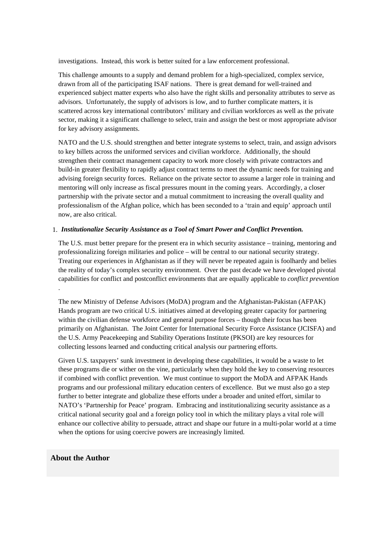investigations. Instead, this work is better suited for a law enforcement professional.

This challenge amounts to a supply and demand problem for a high-specialized, complex service, drawn from all of the participating ISAF nations. There is great demand for well-trained and experienced subject matter experts who also have the right skills and personality attributes to serve as advisors. Unfortunately, the supply of advisors is low, and to further complicate matters, it is scattered across key international contributors' military and civilian workforces as well as the private sector, making it a significant challenge to select, train and assign the best or most appropriate advisor for key advisory assignments.

NATO and the U.S. should strengthen and better integrate systems to select, train, and assign advisors to key billets across the uniformed services and civilian workforce. Additionally, the should strengthen their contract management capacity to work more closely with private contractors and build-in greater flexibility to rapidly adjust contract terms to meet the dynamic needs for training and advising foreign security forces. Reliance on the private sector to assume a larger role in training and mentoring will only increase as fiscal pressures mount in the coming years. Accordingly, a closer partnership with the private sector and a mutual commitment to increasing the overall quality and professionalism of the Afghan police, which has been seconded to a 'train and equip' approach until now, are also critical.

### 1. *Institutionalize Security Assistance as a Tool of Smart Power and Conflict Prevention.*

The U.S. must better prepare for the present era in which security assistance – training, mentoring and professionalizing foreign militaries and police – will be central to our national security strategy. Treating our experiences in Afghanistan as if they will never be repeated again is foolhardy and belies the reality of today's complex security environment. Over the past decade we have developed pivotal capabilities for conflict and postconflict environments that are equally applicable to *conflict prevention*

The new Ministry of Defense Advisors (MoDA) program and the Afghanistan-Pakistan (AFPAK) Hands program are two critical U.S. initiatives aimed at developing greater capacity for partnering within the civilian defense workforce and general purpose forces – though their focus has been primarily on Afghanistan. The Joint Center for International Security Force Assistance (JCISFA) and the U.S. Army Peacekeeping and Stability Operations Institute (PKSOI) are key resources for collecting lessons learned and conducting critical analysis our partnering efforts.

Given U.S. taxpayers' sunk investment in developing these capabilities, it would be a waste to let these programs die or wither on the vine, particularly when they hold the key to conserving resources if combined with conflict prevention. We must continue to support the MoDA and AFPAK Hands programs and our professional military education centers of excellence. But we must also go a step further to better integrate and globalize these efforts under a broader and united effort, similar to NATO's 'Partnership for Peace' program. Embracing and institutionalizing security assistance as a critical national security goal and a foreign policy tool in which the military plays a vital role will enhance our collective ability to persuade, attract and shape our future in a multi-polar world at a time when the options for using coercive powers are increasingly limited.

## **About the Author**

.